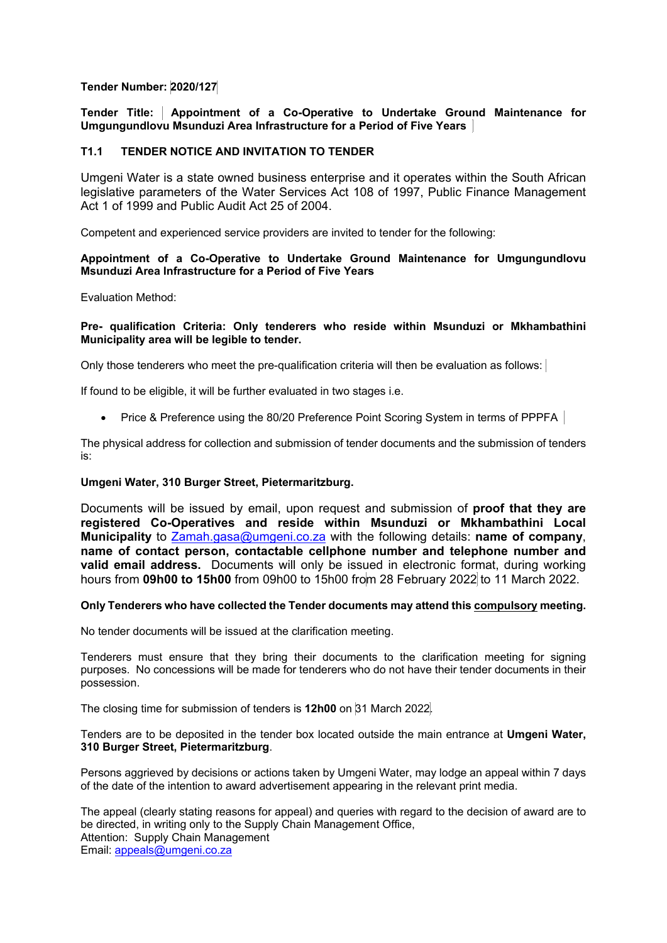# **Tender Number: 2020/127**

**Tender Title: Appointment of a Co-Operative to Undertake Ground Maintenance for Umgungundlovu Msunduzi Area Infrastructure for a Period of Five Years** 

## **T1.1 TENDER NOTICE AND INVITATION TO TENDER**

Umgeni Water is a state owned business enterprise and it operates within the South African legislative parameters of the Water Services Act 108 of 1997, Public Finance Management Act 1 of 1999 and Public Audit Act 25 of 2004.

Competent and experienced service providers are invited to tender for the following:

### **Appointment of a Co-Operative to Undertake Ground Maintenance for Umgungundlovu Msunduzi Area Infrastructure for a Period of Five Years**

Evaluation Method:

#### **Pre- qualification Criteria: Only tenderers who reside within Msunduzi or Mkhambathini Municipality area will be legible to tender.**

Only those tenderers who meet the pre-qualification criteria will then be evaluation as follows:

If found to be eligible, it will be further evaluated in two stages i.e.

• Price & Preference using the 80/20 Preference Point Scoring System in terms of PPPFA

The physical address for collection and submission of tender documents and the submission of tenders is:

#### **Umgeni Water, 310 Burger Street, Pietermaritzburg.**

Documents will be issued by email, upon request and submission of **proof that they are registered Co-Operatives and reside within Msunduzi or Mkhambathini Local Municipality** to Zamah.gasa@umgeni.co.za with the following details: **name of company**, **name of contact person, contactable cellphone number and telephone number and valid email address.** Documents will only be issued in electronic format, during working hours from **09h00 to 15h00** from 09h00 to 15h00 from 28 February 2022 to 11 March 2022.

#### **Only Tenderers who have collected the Tender documents may attend this compulsory meeting.**

No tender documents will be issued at the clarification meeting.

Tenderers must ensure that they bring their documents to the clarification meeting for signing purposes. No concessions will be made for tenderers who do not have their tender documents in their possession.

The closing time for submission of tenders is **12h00** on 31 March 2022.

Tenders are to be deposited in the tender box located outside the main entrance at **Umgeni Water, 310 Burger Street, Pietermaritzburg**.

Persons aggrieved by decisions or actions taken by Umgeni Water, may lodge an appeal within 7 days of the date of the intention to award advertisement appearing in the relevant print media.

The appeal (clearly stating reasons for appeal) and queries with regard to the decision of award are to be directed, in writing only to the Supply Chain Management Office, Attention: Supply Chain Management Email: appeals@umgeni.co.za